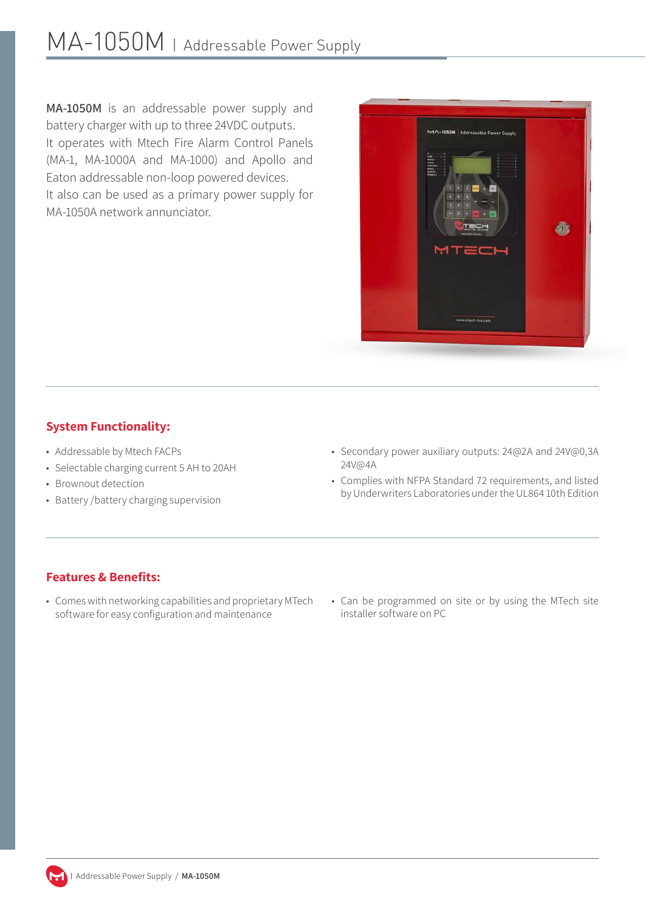MA-1050M is an addressable power supply and battery charger with up to three 24VDC outputs. It operates with Mtech Fire Alarm Control Panels (MA-1, MA-1000A and MA-1000) and Apollo and Eaton addressable non-loop powered devices. It also can be used as a primary power supply for MA-1050A network annunciator.



## **System Functionality:**

- Addressable by Mtech FACPs
- Selectable charging current 5 AH to 20AH
- Brownout detection
- Battery /battery charging supervision
- Secondary power auxiliary outputs: 24@2A and 24V@0,3A 24V@4A
- Complies with NFPA Standard 72 requirements, and listed by Underwriters Laboratories under the UL864 10th Edition

## **Features & Benefits:**

- Comes with networking capabilities and proprietary MTech software for easy configuration and maintenance
- Can be programmed on site or by using the MTech site installer software on PC